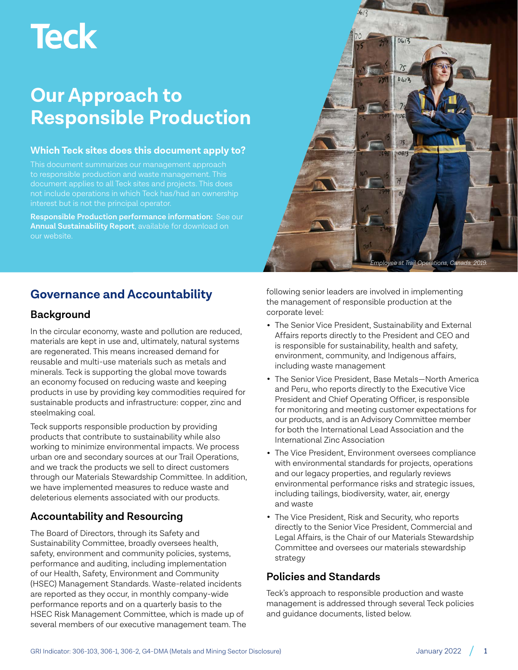# **Teck**

# **Our Approach to Responsible Production**

#### **Which Teck sites does this document apply to?**

This document summarizes our management approach interest but is not the principal operator.

**Responsible Production performance information:** See our **[Annual Sustainability Report](https://www.teck.com/responsibility/approach-to-responsibility/sustainability-report/)**, available for download on our website.



# **Background**

In the circular economy, waste and pollution are reduced, materials are kept in use and, ultimately, natural systems are regenerated. This means increased demand for reusable and multi-use materials such as metals and minerals. Teck is supporting the global move towards an economy focused on reducing waste and keeping products in use by providing key commodities required for sustainable products and infrastructure: copper, zinc and steelmaking coal.

Teck supports responsible production by providing products that contribute to sustainability while also working to minimize environmental impacts. We process urban ore and secondary sources at our Trail Operations, and we track the products we sell to direct customers through our Materials Stewardship Committee. In addition, we have implemented measures to reduce waste and deleterious elements associated with our products.

# **Accountability and Resourcing**

The Board of Directors, through its Safety and Sustainability Committee, broadly oversees health, safety, environment and community policies, systems, performance and auditing, including implementation of our Health, Safety, Environment and Community (HSEC) Management Standards. Waste-related incidents are reported as they occur, in monthly company-wide performance reports and on a quarterly basis to the HSEC Risk Management Committee, which is made up of several members of our executive management team. The

following senior leaders are involved in implementing the management of responsible production at the corporate level:

*Employee at Trail Operations, Canada. 2019.* 

0613

- The Senior Vice President, Sustainability and External Affairs reports directly to the President and CEO and is responsible for sustainability, health and safety, environment, community, and Indigenous affairs, including waste management
- The Senior Vice President, Base Metals—North America and Peru, who reports directly to the Executive Vice President and Chief Operating Officer, is responsible for monitoring and meeting customer expectations for our products, and is an Advisory Committee member for both the International Lead Association and the International Zinc Association
- The Vice President, Environment oversees compliance with environmental standards for projects, operations and our legacy properties, and regularly reviews environmental performance risks and strategic issues, including tailings, biodiversity, water, air, energy and waste
- The Vice President, Risk and Security, who reports directly to the Senior Vice President, Commercial and Legal Affairs, is the Chair of our Materials Stewardship Committee and oversees our materials stewardship strategy

# **Policies and Standards**

Teck's approach to responsible production and waste management is addressed through several Teck policies and guidance documents, listed below.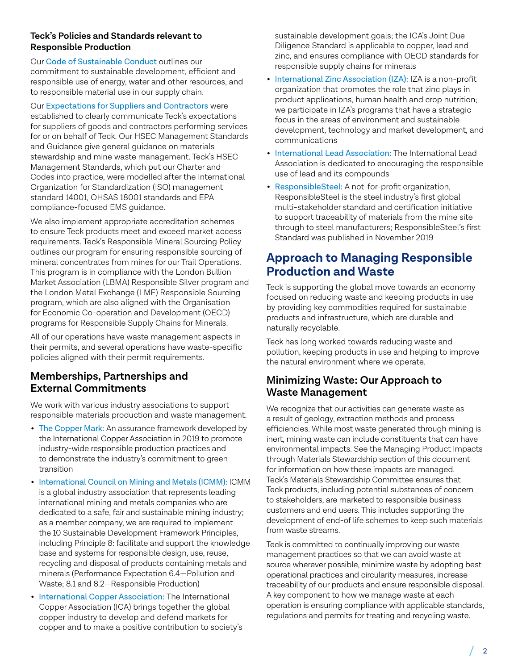#### **Teck's Policies and Standards relevant to Responsible Production**

Our [Code of Sustainable Conduct](https://www.teck.com/responsibility/approach-to-responsibility/our-commitments/policies/code-of-sustainable-conduct/) outlines our commitment to sustainable development, efficient and responsible use of energy, water and other resources, and to responsible material use in our supply chain.

Our [Expectations for Suppliers and Contractors](https://www.teck.com/media/Teck) were established to clearly communicate Teck's expectations for suppliers of goods and contractors performing services for or on behalf of Teck. Our HSEC Management Standards and Guidance give general guidance on materials stewardship and mine waste management. Teck's HSEC Management Standards, which put our Charter and Codes into practice, were modelled after the International Organization for Standardization (ISO) management standard 14001, OHSAS 18001 standards and EPA compliance-focused EMS guidance.

We also implement appropriate accreditation schemes to ensure Teck products meet and exceed market access requirements. Teck's Responsible Mineral Sourcing Policy outlines our program for ensuring responsible sourcing of mineral concentrates from mines for our Trail Operations. This program is in compliance with the London Bullion Market Association (LBMA) Responsible Silver program and the London Metal Exchange (LME) Responsible Sourcing program, which are also aligned with the Organisation for Economic Co-operation and Development (OECD) programs for Responsible Supply Chains for Minerals.

All of our operations have waste management aspects in their permits, and several operations have waste-specific policies aligned with their permit requirements.

# **Memberships, Partnerships and External Commitments**

We work with various industry associations to support responsible materials production and waste management.

- [The Copper Mark:](https://coppermark.org/) An assurance framework developed by the International Copper Association in 2019 to promote industry-wide responsible production practices and to demonstrate the industry's commitment to green transition
- [International Council on Mining and Metals \(ICMM\):](https://www.icmm.com/) ICMM is a global industry association that represents leading international mining and metals companies who are dedicated to a safe, fair and sustainable mining industry; as a member company, we are required to implement the 10 Sustainable Development Framework Principles, including Principle 8: facilitate and support the knowledge base and systems for responsible design, use, reuse, recycling and disposal of products containing metals and minerals (Performance Expectation 6.4—Pollution and Waste; 8.1 and 8.2—Responsible Production)
- [International Copper Association:](https://copperalliance.org/) The International Copper Association (ICA) brings together the global copper industry to develop and defend markets for copper and to make a positive contribution to society's

sustainable development goals; the ICA's Joint Due Diligence Standard is applicable to copper, lead and zinc, and ensures compliance with OECD standards for responsible supply chains for minerals

- [International Zinc Association \(IZA\):](https://www.zinc.org/) IZA is a non-profit organization that promotes the role that zinc plays in product applications, human health and crop nutrition; we participate in IZA's programs that have a strategic focus in the areas of environment and sustainable development, technology and market development, and communications
- [International Lead Association:](https://www.ila-lead.org/) The International Lead Association is dedicated to encouraging the responsible use of lead and its compounds
- [ResponsibleSteel:](https://www.responsiblesteel.org/) A not-for-profit organization, ResponsibleSteel is the steel industry's first global multi-stakeholder standard and certification initiative to support traceability of materials from the mine site through to steel manufacturers; ResponsibleSteel's first Standard was published in November 2019

# **Approach to Managing Responsible Production and Waste**

Teck is supporting the global move towards an economy focused on reducing waste and keeping products in use by providing key commodities required for sustainable products and infrastructure, which are durable and naturally recyclable.

Teck has long worked towards reducing waste and pollution, keeping products in use and helping to improve the natural environment where we operate.

# **Minimizing Waste: Our Approach to Waste Management**

We recognize that our activities can generate waste as a result of geology, extraction methods and process efficiencies. While most waste generated through mining is inert, mining waste can include constituents that can have environmental impacts. See the Managing Product Impacts through Materials Stewardship section of this document for information on how these impacts are managed. Teck's Materials Stewardship Committee ensures that Teck products, including potential substances of concern to stakeholders, are marketed to responsible business customers and end users. This includes supporting the development of end-of life schemes to keep such materials from waste streams.

Teck is committed to continually improving our waste management practices so that we can avoid waste at source wherever possible, minimize waste by adopting best operational practices and circularity measures, increase traceability of our products and ensure responsible disposal. A key component to how we manage waste at each operation is ensuring compliance with applicable standards, regulations and permits for treating and recycling waste.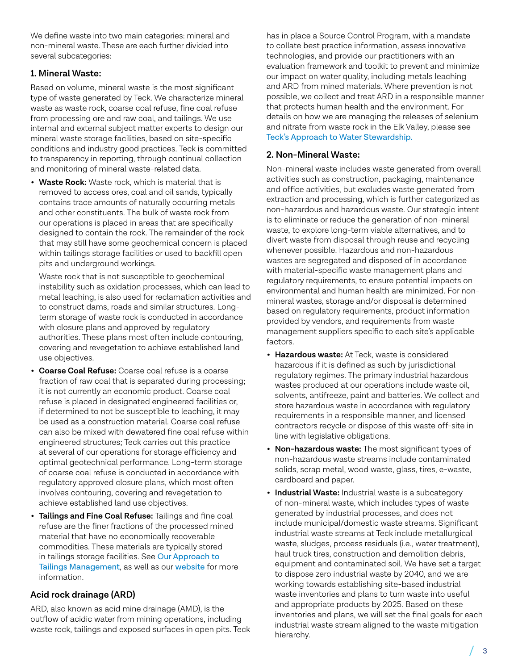We define waste into two main categories: mineral and non-mineral waste. These are each further divided into several subcategories:

#### **1. Mineral Waste:**

Based on volume, mineral waste is the most significant type of waste generated by Teck. We characterize mineral waste as waste rock, coarse coal refuse, fine coal refuse from processing ore and raw coal, and tailings. We use internal and external subject matter experts to design our mineral waste storage facilities, based on site-specific conditions and industry good practices. Teck is committed to transparency in reporting, through continual collection and monitoring of mineral waste-related data.

• **Waste Rock:** Waste rock, which is material that is removed to access ores, coal and oil sands, typically contains trace amounts of naturally occurring metals and other constituents. The bulk of waste rock from our operations is placed in areas that are specifically designed to contain the rock. The remainder of the rock that may still have some geochemical concern is placed within tailings storage facilities or used to backfill open pits and underground workings.

Waste rock that is not susceptible to geochemical instability such as oxidation processes, which can lead to metal leaching, is also used for reclamation activities and to construct dams, roads and similar structures. Longterm storage of waste rock is conducted in accordance with closure plans and approved by regulatory authorities. These plans most often include contouring, covering and revegetation to achieve established land use objectives.

- **Coarse Coal Refuse:** Coarse coal refuse is a coarse fraction of raw coal that is separated during processing; it is not currently an economic product. Coarse coal refuse is placed in designated engineered facilities or, if determined to not be susceptible to leaching, it may be used as a construction material. Coarse coal refuse can also be mixed with dewatered fine coal refuse within engineered structures; Teck carries out this practice at several of our operations for storage efficiency and optimal geotechnical performance. Long-term storage of coarse coal refuse is conducted in accordance with regulatory approved closure plans, which most often involves contouring, covering and revegetation to achieve established land use objectives.
- **Tailings and Fine Coal Refuse:** Tailings and fine coal refuse are the finer fractions of the processed mined material that have no economically recoverable commodities. These materials are typically stored in tailings storage facilities. See [Our Approach to](https://www.teck.com/media/teck_approach_to_Tailings_Management_2021.pdf)  [Tailings Management](https://www.teck.com/media/teck_approach_to_Tailings_Management_2021.pdf), as well as our [website](https://www.teck.com/Tailings/) for more information.

#### **Acid rock drainage (ARD)**

ARD, also known as acid mine drainage (AMD), is the outflow of acidic water from mining operations, including waste rock, tailings and exposed surfaces in open pits. Teck has in place a Source Control Program, with a mandate to collate best practice information, assess innovative technologies, and provide our practitioners with an evaluation framework and toolkit to prevent and minimize our impact on water quality, including metals leaching and ARD from mined materials. Where prevention is not possible, we collect and treat ARD in a responsible manner that protects human health and the environment. For details on how we are managing the releases of selenium and nitrate from waste rock in the Elk Valley, please see [Teck's Approach to Water Stewardship.](https://www.teck.com/media/teck_approach_to_Water_Stewardship_2021.pdf)

#### **2. Non-Mineral Waste:**

Non-mineral waste includes waste generated from overall activities such as construction, packaging, maintenance and office activities, but excludes waste generated from extraction and processing, which is further categorized as non-hazardous and hazardous waste. Our strategic intent is to eliminate or reduce the generation of non-mineral waste, to explore long-term viable alternatives, and to divert waste from disposal through reuse and recycling whenever possible. Hazardous and non-hazardous wastes are segregated and disposed of in accordance with material-specific waste management plans and regulatory requirements, to ensure potential impacts on environmental and human health are minimized. For nonmineral wastes, storage and/or disposal is determined based on regulatory requirements, product information provided by vendors, and requirements from waste management suppliers specific to each site's applicable factors.

- **Hazardous waste:** At Teck, waste is considered hazardous if it is defined as such by jurisdictional regulatory regimes. The primary industrial hazardous wastes produced at our operations include waste oil, solvents, antifreeze, paint and batteries. We collect and store hazardous waste in accordance with regulatory requirements in a responsible manner, and licensed contractors recycle or dispose of this waste off-site in line with legislative obligations.
- **Non-hazardous waste:** The most significant types of non-hazardous waste streams include contaminated solids, scrap metal, wood waste, glass, tires, e-waste, cardboard and paper.
- **Industrial Waste:** Industrial waste is a subcategory of non-mineral waste, which includes types of waste generated by industrial processes, and does not include municipal/domestic waste streams. Significant industrial waste streams at Teck include metallurgical waste, sludges, process residuals (i.e., water treatment), haul truck tires, construction and demolition debris, equipment and contaminated soil. We have set a target to dispose zero industrial waste by 2040, and we are working towards establishing site-based industrial waste inventories and plans to turn waste into useful and appropriate products by 2025. Based on these inventories and plans, we will set the final goals for each industrial waste stream aligned to the waste mitigation hierarchy.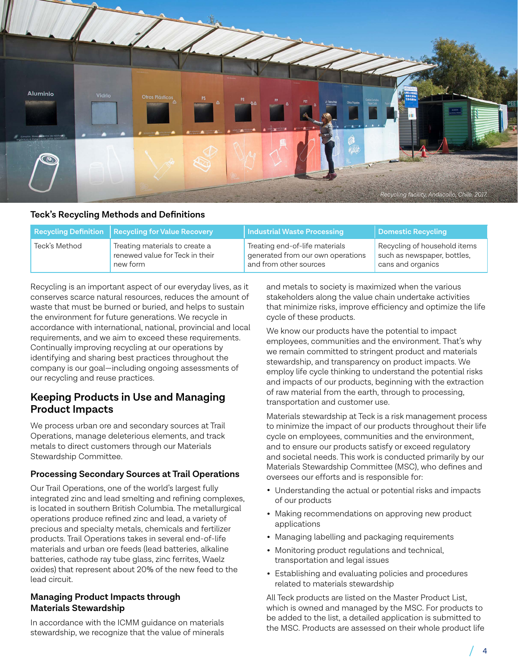

#### **Teck's Recycling Methods and Definitions**

|               | Recycling Definition   Recycling for Value Recovery | Industrial Waste Processing       | Domestic Recycling           |
|---------------|-----------------------------------------------------|-----------------------------------|------------------------------|
| Teck's Method | Treating materials to create a                      | Treating end-of-life materials    | Recycling of household items |
|               | renewed value for Teck in their                     | generated from our own operations | such as newspaper, bottles,  |
|               | new form                                            | and from other sources            | cans and organics            |

Recycling is an important aspect of our everyday lives, as it conserves scarce natural resources, reduces the amount of waste that must be burned or buried, and helps to sustain the environment for future generations. We recycle in accordance with international, national, provincial and local requirements, and we aim to exceed these requirements. Continually improving recycling at our operations by identifying and sharing best practices throughout the company is our goal—including ongoing assessments of our recycling and reuse practices.

### **Keeping Products in Use and Managing Product Impacts**

We process urban ore and secondary sources at Trail Operations, manage deleterious elements, and track metals to direct customers through our Materials Stewardship Committee.

#### **Processing Secondary Sources at Trail Operations**

Our Trail Operations, one of the world's largest fully integrated zinc and lead smelting and refining complexes, is located in southern British Columbia. The metallurgical operations produce refined zinc and lead, a variety of precious and specialty metals, chemicals and fertilizer products. Trail Operations takes in several end-of-life materials and urban ore feeds (lead batteries, alkaline batteries, cathode ray tube glass, zinc ferrites, Waelz oxides) that represent about 20% of the new feed to the lead circuit.

#### **Managing Product Impacts through Materials Stewardship**

In accordance with the ICMM guidance on materials stewardship, we recognize that the value of minerals and metals to society is maximized when the various stakeholders along the value chain undertake activities that minimize risks, improve efficiency and optimize the life cycle of these products.

We know our products have the potential to impact employees, communities and the environment. That's why we remain committed to stringent product and materials stewardship, and transparency on product impacts. We employ life cycle thinking to understand the potential risks and impacts of our products, beginning with the extraction of raw material from the earth, through to processing, transportation and customer use.

Materials stewardship at Teck is a risk management process to minimize the impact of our products throughout their life cycle on employees, communities and the environment, and to ensure our products satisfy or exceed regulatory and societal needs. This work is conducted primarily by our Materials Stewardship Committee (MSC), who defines and oversees our efforts and is responsible for:

- Understanding the actual or potential risks and impacts of our products
- Making recommendations on approving new product applications
- Managing labelling and packaging requirements
- Monitoring product regulations and technical, transportation and legal issues
- Establishing and evaluating policies and procedures related to materials stewardship

All Teck products are listed on the Master Product List, which is owned and managed by the MSC. For products to be added to the list, a detailed application is submitted to the MSC. Products are assessed on their whole product life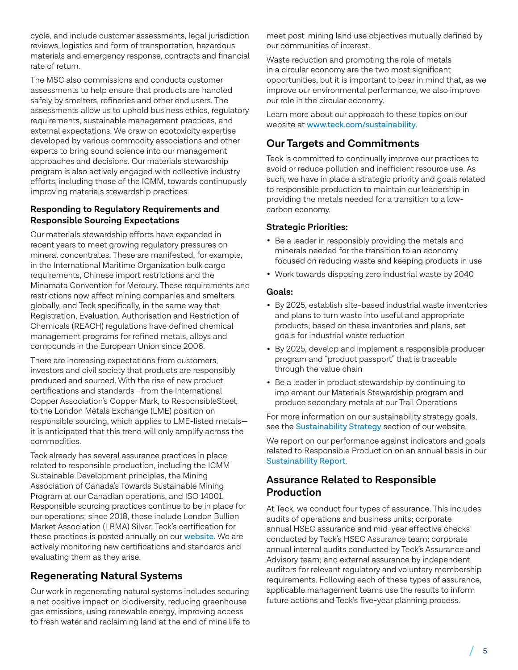cycle, and include customer assessments, legal jurisdiction reviews, logistics and form of transportation, hazardous materials and emergency response, contracts and financial rate of return.

The MSC also commissions and conducts customer assessments to help ensure that products are handled safely by smelters, refineries and other end users. The assessments allow us to uphold business ethics, regulatory requirements, sustainable management practices, and external expectations. We draw on ecotoxicity expertise developed by various commodity associations and other experts to bring sound science into our management approaches and decisions. Our materials stewardship program is also actively engaged with collective industry efforts, including those of the ICMM, towards continuously improving materials stewardship practices.

#### **Responding to Regulatory Requirements and Responsible Sourcing Expectations**

Our materials stewardship efforts have expanded in recent years to meet growing regulatory pressures on mineral concentrates. These are manifested, for example, in the International Maritime Organization bulk cargo requirements, Chinese import restrictions and the Minamata Convention for Mercury. These requirements and restrictions now affect mining companies and smelters globally, and Teck specifically, in the same way that Registration, Evaluation, Authorisation and Restriction of Chemicals (REACH) regulations have defined chemical management programs for refined metals, alloys and compounds in the European Union since 2006.

There are increasing expectations from customers, investors and civil society that products are responsibly produced and sourced. With the rise of new product certifications and standards—from the International Copper Association's Copper Mark, to ResponsibleSteel, to the London Metals Exchange (LME) position on responsible sourcing, which applies to LME-listed metals it is anticipated that this trend will only amplify across the commodities.

Teck already has several assurance practices in place related to responsible production, including the ICMM Sustainable Development principles, the Mining Association of Canada's Towards Sustainable Mining Program at our Canadian operations, and ISO 14001. Responsible sourcing practices continue to be in place for our operations; since 2018, these include London Bullion Market Association (LBMA) Silver. Teck's certification for these practices is posted annually on our [website](https://www.teck.com/products/other-metals/). We are actively monitoring new certifications and standards and evaluating them as they arise.

# **Regenerating Natural Systems**

Our work in regenerating natural systems includes securing a net positive impact on biodiversity, reducing greenhouse gas emissions, using renewable energy, improving access to fresh water and reclaiming land at the end of mine life to meet post-mining land use objectives mutually defined by our communities of interest.

Waste reduction and promoting the role of metals in a circular economy are the two most significant opportunities, but it is important to bear in mind that, as we improve our environmental performance, we also improve our role in the circular economy.

Learn more about our approach to these topics on our website at [www.teck.com](http://www.teck.com/sustainability)/sustainability.

# **Our Targets and Commitments**

Teck is committed to continually improve our practices to avoid or reduce pollution and inefficient resource use. As such, we have in place a strategic priority and goals related to responsible production to maintain our leadership in providing the metals needed for a transition to a lowcarbon economy.

#### **Strategic Priorities:**

- Be a leader in responsibly providing the metals and minerals needed for the transition to an economy focused on reducing waste and keeping products in use
- Work towards disposing zero industrial waste by 2040

#### **Goals:**

- By 2025, establish site-based industrial waste inventories and plans to turn waste into useful and appropriate products; based on these inventories and plans, set goals for industrial waste reduction
- By 2025, develop and implement a responsible producer program and "product passport" that is traceable through the value chain
- Be a leader in product stewardship by continuing to implement our Materials Stewardship program and produce secondary metals at our Trail Operations

For more information on our sustainability strategy goals, see the [Sustainability Strategy](https://www.teck.com/responsibility/approach-to-responsibility/our-sustainability-strategy/) section of our website.

We report on our performance against indicators and goals related to Responsible Production on an annual basis in our [Sustainability Report](https://www.teck.com/sustainability/approach-to-responsibility/sustainability-report-and-disclosure-portal/ ).

# **Assurance Related to Responsible Production**

At Teck, we conduct four types of assurance. This includes audits of operations and business units; corporate annual HSEC assurance and mid-year effective checks conducted by Teck's HSEC Assurance team; corporate annual internal audits conducted by Teck's Assurance and Advisory team; and external assurance by independent auditors for relevant regulatory and voluntary membership requirements. Following each of these types of assurance, applicable management teams use the results to inform future actions and Teck's five-year planning process.